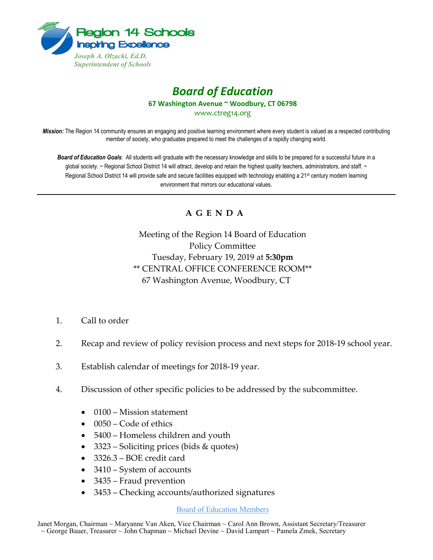

## *Board of Education* **67 Washington Avenue ~ Woodbury, CT 06798**

www.ctreg14.org

*Mission:* The Region 14 community ensures an engaging and positive learning environment where every student is valued as a respected contributing member of society, who graduates prepared to meet the challenges of a rapidly changing world.

*Board of Education Goals:* All students will graduate with the necessary knowledge and skills to be prepared for a successful future in a global society. ~ Regional School District 14 will attract, develop and retain the highest quality teachers, administrators, and staff. ~ Regional School District 14 will provide safe and secure facilities equipped with technology enabling a 21<sup>st</sup> century modern learning environment that mirrors our educational values.

## **A G E N D A**

Meeting of the Region 14 Board of Education Policy Committee Tuesday, February 19, 2019 at **5:30pm** \*\* CENTRAL OFFICE CONFERENCE ROOM\*\* 67 Washington Avenue, Woodbury, CT

- 1. Call to order
- 2. Recap and review of policy revision process and next steps for 2018-19 school year.
- 3. Establish calendar of meetings for 2018-19 year.
- 4. Discussion of other specific policies to be addressed by the subcommittee.
	- 0100 Mission statement
	- 0050 Code of ethics
	- 5400 Homeless children and youth
	- 3323 Soliciting prices (bids & quotes)
	- 3326.3 BOE credit card
	- 3410 System of accounts
	- 3435 Fraud prevention
	- 3453 Checking accounts/authorized signatures

## Board of Education Members